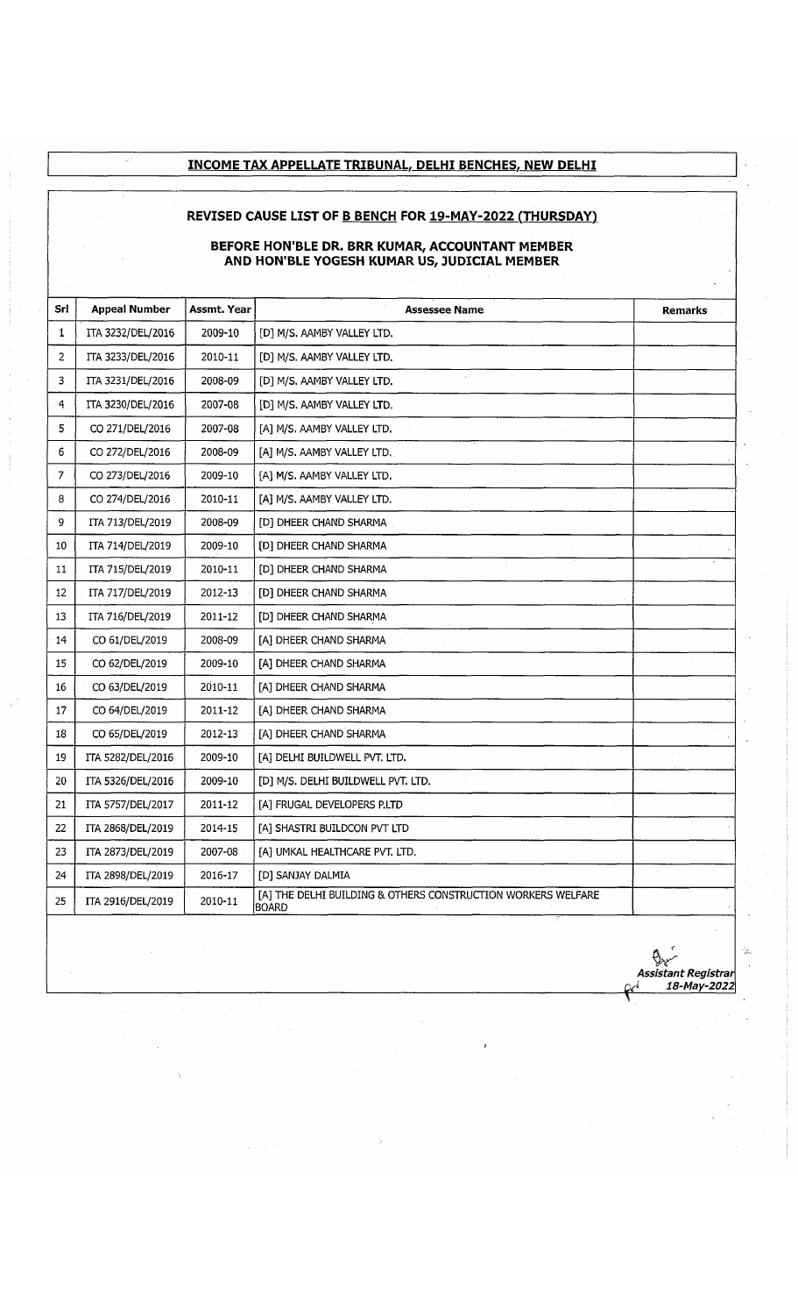### **INCOME TAX APPELLATE TRIBUNAL, DELHI BENCHES, NEW DELHI**

#### **REVISED CAUSE LIST OF B BENCH FOR 19-MAY-2022 (THURSDAY!**

#### **BEFORE HON'BLE DR. BRR KUMAR, ACCOUNTANT MEMBER AND HON'BLE YOGESH KUMAR US, JUDICIAL MEMBER**

| Srl            | <b>Appeal Number</b> | Assmt. Year | <b>Assessee Name</b>                                                         | <b>Remarks</b> |
|----------------|----------------------|-------------|------------------------------------------------------------------------------|----------------|
| 1              | ITA 3232/DEL/2016    | 2009-10     | [D] M/S. AAMBY VALLEY LTD.                                                   |                |
| $\overline{2}$ | ITA 3233/DEL/2016    | 2010-11     | [D] M/S. AAMBY VALLEY LTD.                                                   |                |
| 3              | ITA 3231/DEL/2016    | 2008-09     | u.<br>[D] M/S. AAMBY VALLEY LTD.                                             |                |
| 4              | ITA 3230/DEL/2016    | 2007-08     | [D] M/S. AAMBY VALLEY LTD.                                                   |                |
| 5              | CO 271/DEL/2016      | 2007-08     | [A] M/S. AAMBY VALLEY LTD.                                                   |                |
| 6              | CO 272/DEL/2016      | 2008-09     | [A] M/S. AAMBY VALLEY LTD.                                                   |                |
| 7              | CO 273/DEL/2016      | 2009-10     | [A] M/S. AAMBY VALLEY LTD.                                                   |                |
| 8              | CO 274/DEL/2016      | 2010-11     | [A] M/S. AAMBY VALLEY LTD.                                                   |                |
| 9              | ITA 713/DEL/2019     | 2008-09     | [D] DHEER CHAND SHARMA                                                       |                |
| 10             | ITA 714/DEL/2019     | 2009-10     | [D] DHEER CHAND SHARMA                                                       |                |
| 11             | ITA 715/DEL/2019     | 2010-11     | [D] DHEER CHAND SHARMA                                                       |                |
| 12             | ITA 717/DEL/2019     | 2012-13     | [D] DHEER CHAND SHARMA                                                       |                |
| 13             | ITA 716/DEL/2019     | 2011-12     | [D] DHEER CHAND SHARMA                                                       |                |
| 14             | CO 61/DEL/2019       | 2008-09     | [A] DHEER CHAND SHARMA                                                       |                |
| 15             | CO 62/DEL/2019       | 2009-10     | [A] DHEER CHAND SHARMA                                                       |                |
| 16             | CO 63/DEL/2019       | 2010-11     | [A] DHEER CHAND SHARMA                                                       |                |
| 17             | CO 64/DEL/2019       | 2011-12     | [A] DHEER CHAND SHARMA                                                       |                |
| 18             | CO 65/DEL/2019       | 2012-13     | [A] DHEER CHAND SHARMA                                                       |                |
| 19             | ITA 5282/DEL/2016    | 2009-10     | [A] DELHI BUILDWELL PVT. LTD.                                                |                |
| 20             | ITA 5326/DEL/2016    | 2009-10     | [D] M/S. DELHI BUILDWELL PVT. LTD.                                           |                |
| 21             | ITA 5757/DEL/2017    | 2011-12     | [A] FRUGAL DEVELOPERS P.LTD                                                  |                |
| 22             | ITA 2868/DEL/2019    | 2014-15     | [A] SHASTRI BUILDCON PVT LTD                                                 |                |
| 23             | ITA 2873/DEL/2019    | 2007-08     | [A] UMKAL HEALTHCARE PVT. LTD.                                               |                |
| 24             | ITA 2898/DEL/2019    | 2016-17     | [D] SANJAY DALMIA                                                            |                |
| 25             | ITA 2916/DEL/2019    | 2010-11     | [A] THE DELHI BUILDING & OTHERS CONSTRUCTION WORKERS WELFARE<br><b>BOARD</b> |                |
|                |                      |             |                                                                              |                |

*Assistant Registrar Qfi 18-May-2022*

Q.,

 $\frac{1}{2} \frac{1}{2}$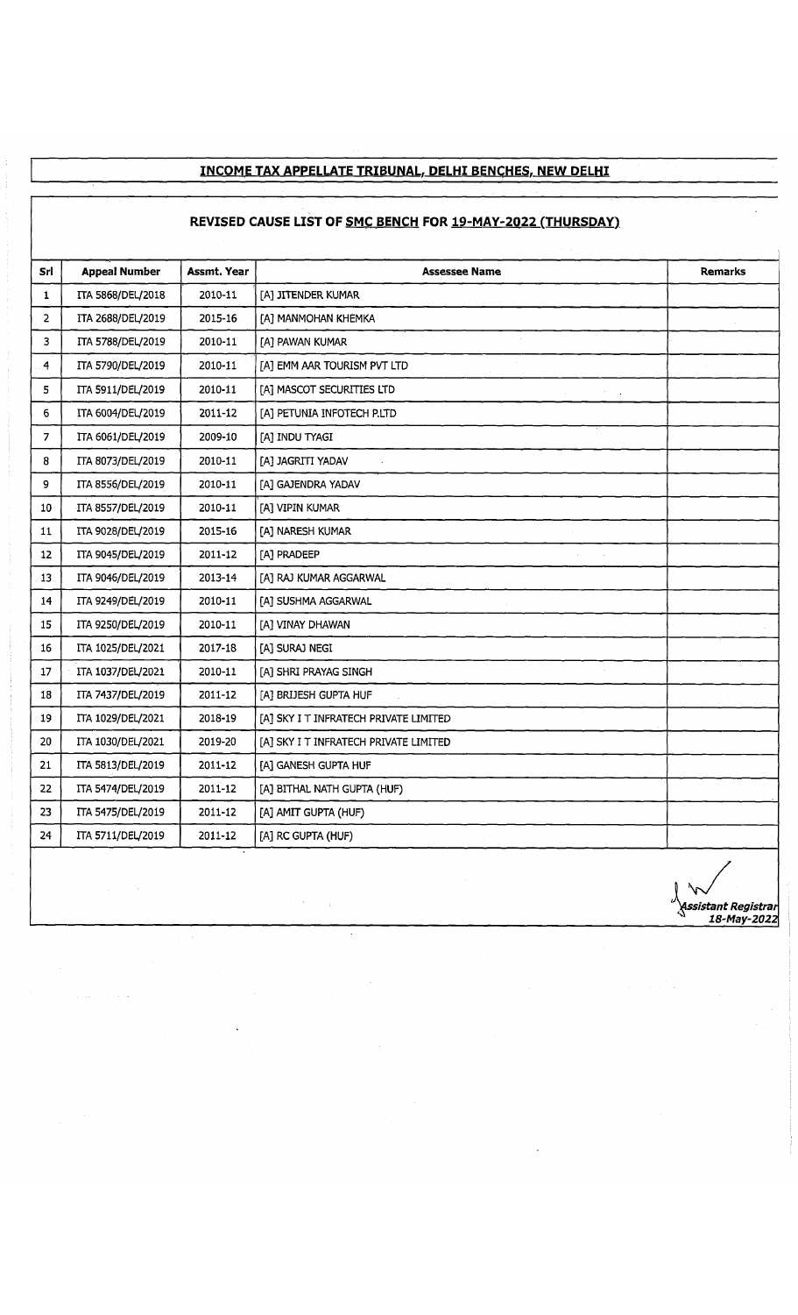## **INCOME TAX APPELLATE TRIBUNAL, DELHI BENCHES. NEW DELHI**

## **REVISED CAUSE LIST OF SMC BENCH FOR 19-MAY-2022 (THURSDAY)**

| Srl            | <b>Appeal Number</b> | Assmt. Year | <b>Assessee Name</b>                  | <b>Remarks</b> |
|----------------|----------------------|-------------|---------------------------------------|----------------|
| 1              | ITA 5868/DEL/2018    | 2010-11     | [A] JITENDER KUMAR                    |                |
| $\overline{2}$ | ITA 2688/DEL/2019    | 2015-16     | [A] MANMOHAN KHEMKA                   |                |
| 3              | ITA 5788/DEL/2019    | 2010-11     | [A] PAWAN KUMAR                       |                |
| $\overline{4}$ | ITA 5790/DEL/2019    | 2010-11     | [A] EMM AAR TOURISM PVT LTD           |                |
| 5              | ITA 5911/DEL/2019    | 2010-11     | [A] MASCOT SECURITIES LTD             |                |
| 6              | ITA 6004/DEL/2019    | 2011-12     | [A] PETUNIA INFOTECH P.LTD            |                |
| $\overline{7}$ | ITA 6061/DEL/2019    | 2009-10     | [A] INDU TYAGI                        |                |
| 8              | ITA 8073/DEL/2019    | 2010-11     | [A] JAGRITI YADAV                     |                |
| 9              | ITA 8556/DEL/2019    | 2010-11     | [A] GAJENDRA YADAV                    |                |
| 10             | ITA 8557/DEL/2019    | 2010-11     | [A] VIPIN KUMAR                       |                |
| 11             | ITA 9028/DEL/2019    | 2015-16     | [A] NARESH KUMAR                      |                |
| $12\,$         | ITA 9045/DEL/2019    | 2011-12     | [A] PRADEEP                           |                |
| 13             | ITA 9046/DEL/2019    | 2013-14     | [A] RAJ KUMAR AGGARWAL                |                |
| 14             | ITA 9249/DEL/2019    | 2010-11     | [A] SUSHMA AGGARWAL                   |                |
| 15             | ITA 9250/DEL/2019    | 2010-11     | [A] VINAY DHAWAN                      |                |
| 16             | ITA 1025/DEL/2021    | 2017-18     | [A] SURAJ NEGI                        |                |
| 17             | ITA 1037/DEL/2021    | 2010-11     | [A] SHRI PRAYAG SINGH                 |                |
| 18             | ITA 7437/DEL/2019    | 2011-12     | [A] BRIJESH GUPTA HUF                 |                |
| 19             | ITA 1029/DEL/2021    | 2018-19     | [A] SKY I T INFRATECH PRIVATE LIMITED |                |
| 20             | ITA 1030/DEL/2021    | 2019-20     | [A] SKY I T INFRATECH PRIVATE LIMITED |                |
| 21             | ITA 5813/DEL/2019    | 2011-12     | [A] GANESH GUPTA HUF                  |                |
| 22             | ITA 5474/DEL/2019    | 2011-12     | [A] BITHAL NATH GUPTA (HUF)           |                |
| 23             | ITA 5475/DEL/2019    | 2011-12     | [A] AMIT GUPTA (HUF)                  |                |
| 24             | ITA 5711/DEL/2019    | 2011-12     | [A] RC GUPTA (HUF)                    |                |

*^Assistant Registrar* ^ *18-May-2022*